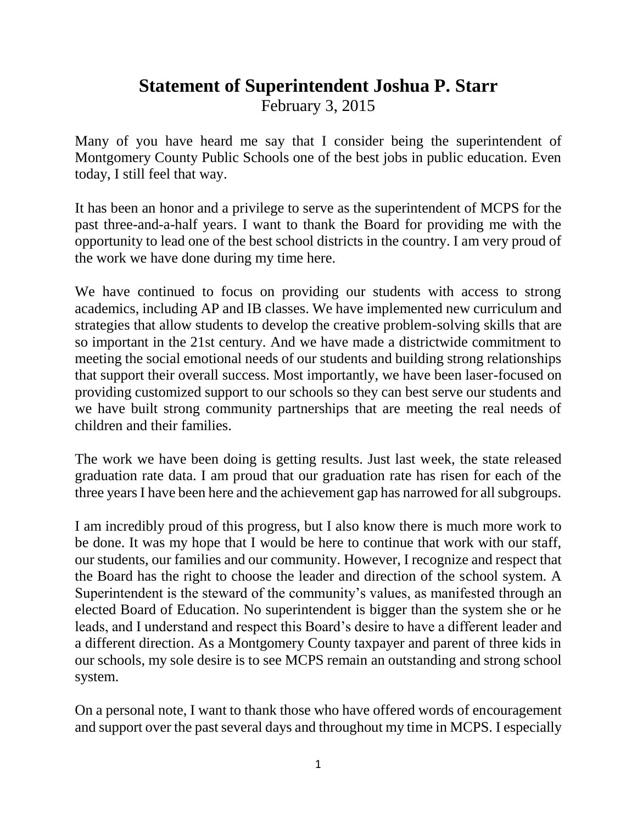## **Statement of Superintendent Joshua P. Starr**

February 3, 2015

Many of you have heard me say that I consider being the superintendent of Montgomery County Public Schools one of the best jobs in public education. Even today, I still feel that way.

It has been an honor and a privilege to serve as the superintendent of MCPS for the past three-and-a-half years. I want to thank the Board for providing me with the opportunity to lead one of the best school districts in the country. I am very proud of the work we have done during my time here.

We have continued to focus on providing our students with access to strong academics, including AP and IB classes. We have implemented new curriculum and strategies that allow students to develop the creative problem-solving skills that are so important in the 21st century. And we have made a districtwide commitment to meeting the social emotional needs of our students and building strong relationships that support their overall success. Most importantly, we have been laser-focused on providing customized support to our schools so they can best serve our students and we have built strong community partnerships that are meeting the real needs of children and their families.

The work we have been doing is getting results. Just last week, the state released graduation rate data. I am proud that our graduation rate has risen for each of the three years I have been here and the achievement gap has narrowed for all subgroups.

I am incredibly proud of this progress, but I also know there is much more work to be done. It was my hope that I would be here to continue that work with our staff, our students, our families and our community. However, I recognize and respect that the Board has the right to choose the leader and direction of the school system. A Superintendent is the steward of the community's values, as manifested through an elected Board of Education. No superintendent is bigger than the system she or he leads, and I understand and respect this Board's desire to have a different leader and a different direction. As a Montgomery County taxpayer and parent of three kids in our schools, my sole desire is to see MCPS remain an outstanding and strong school system.

On a personal note, I want to thank those who have offered words of encouragement and support over the past several days and throughout my time in MCPS. I especially